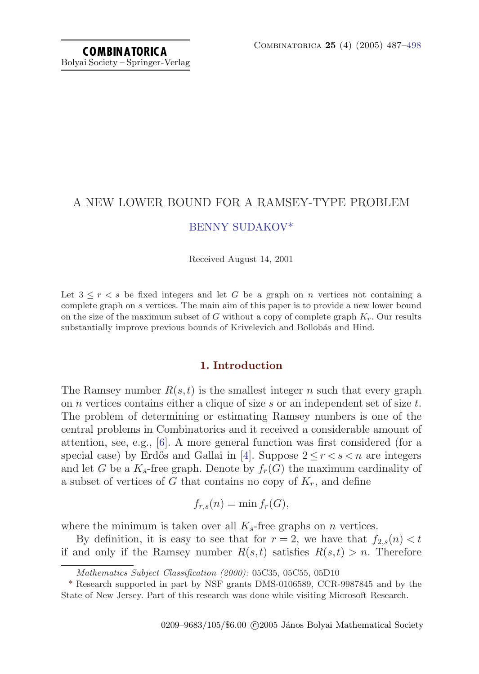# A NEW LOWER BOUND FOR A RAMSEY-TYPE PROBLEM [BENNY SUDAKOV](#page-11-0)\*

Received August 14, 2001

Let  $3 \leq r \leq s$  be fixed integers and let G be a graph on n vertices not containing a complete graph on s vertices. The main aim of this paper is to provide a new lower bound on the size of the maximum subset of G without a copy of complete graph  $K_r$ . Our results substantially improve previous bounds of Krivelevich and Bollobás and Hind.

## **1. Introduction**

The Ramsey number  $R(s,t)$  is the smallest integer n such that every graph on  $n$  vertices contains either a clique of size s or an independent set of size  $t$ . The problem of determining or estimating Ramsey numbers is one of the central problems in Combinatorics and it received a considerable amount of attention, see, e.g., [\[6\]](#page-11-0). A more general function was first considered (for a special case) by Erdős and Gallai in [[4](#page-11-0)]. Suppose  $2 \le r < s < n$  are integers and let G be a  $K_s$ -free graph. Denote by  $f_r(G)$  the maximum cardinality of a subset of vertices of G that contains no copy of  $K_r$ , and define

$$
f_{r,s}(n) = \min f_r(G),
$$

where the minimum is taken over all  $K_s$ -free graphs on *n* vertices.

By definition, it is easy to see that for  $r = 2$ , we have that  $f_{2,s}(n) < t$ if and only if the Ramsey number  $R(s,t)$  satisfies  $R(s,t) > n$ . Therefore

Mathematics Subject Classification (2000): 05C35, 05C55, 05D10

<sup>\*</sup> Research supported in part by NSF grants DMS-0106589, CCR-9987845 and by the State of New Jersey. Part of this research was done while visiting Microsoft Research.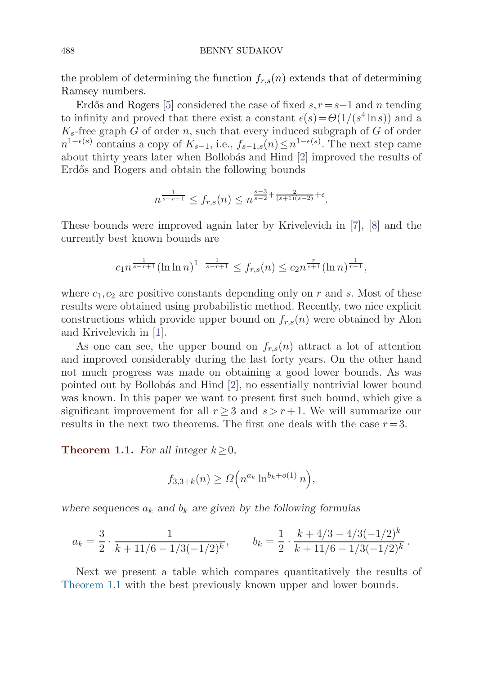### <span id="page-1-0"></span>488 BENNY SUDAKOV

the problem of determining the function  $f_{r,s}(n)$  extends that of determining Ramsey numbers.

Erdős and Rogers [[5](#page-11-0)] considered the case of fixed  $s, r = s-1$  and n tending to infinity and proved that there exist a constant  $\epsilon(s) = \Theta(1/(s^4 \ln s))$  and a  $K_s$ -free graph G of order n, such that every induced subgraph of G of order  $n^{1-\epsilon(s)}$  contains a copy of  $K_{s-1}$ , i.e.,  $f_{s-1,s}(n) \leq n^{1-\epsilon(s)}$ . The next step came about thirty years later when Bollobás and Hind [\[2\]](#page-11-0) improved the results of Erdős and Rogers and obtain the following bounds

$$
n^{\frac{1}{s-r+1}} \le f_{r,s}(n) \le n^{\frac{s-3}{s-2}+\frac{2}{(s+1)(s-2)}+\epsilon}.
$$

These bounds were improved again later by Krivelevich in [[7](#page-11-0)], [[8](#page-11-0)] and the currently best known bounds are

$$
c_1 n^{\frac{1}{s-r+1}} (\ln \ln n)^{1-\frac{1}{s-r+1}} \le f_{r,s}(n) \le c_2 n^{\frac{r}{s+1}} (\ln n)^{\frac{1}{r-1}},
$$

where  $c_1, c_2$  are positive constants depending only on r and s. Most of these results were obtained using probabilistic method. Recently, two nice explicit constructions which provide upper bound on  $f_{r,s}(n)$  were obtained by Alon and Krivelevich in [[1\]](#page-11-0).

As one can see, the upper bound on  $f_{r,s}(n)$  attract a lot of attention and improved considerably during the last forty years. On the other hand not much progress was made on obtaining a good lower bounds. As was pointed out by Bollob´as and Hind [\[2\]](#page-11-0), no essentially nontrivial lower bound was known. In this paper we want to present first such bound, which give a significant improvement for all  $r \geq 3$  and  $s \geq r+1$ . We will summarize our results in the next two theorems. The first one deals with the case  $r=3$ .

**Theorem 1.1.** *For all integer*  $k > 0$ *,* 

$$
f_{3,3+k}(n) \ge \Omega\left(n^{a_k} \ln^{b_k+o(1)} n\right),\,
$$

where sequences  $a_k$  and  $b_k$  are given by the following formulas

$$
a_k = \frac{3}{2} \cdot \frac{1}{k + 11/6 - 1/3(-1/2)^k}, \qquad b_k = \frac{1}{2} \cdot \frac{k + 4/3 - 4/3(-1/2)^k}{k + 11/6 - 1/3(-1/2)^k}.
$$

Next we present a table which compares quantitatively the results of Theorem 1.1 with the best previously known upper and lower bounds.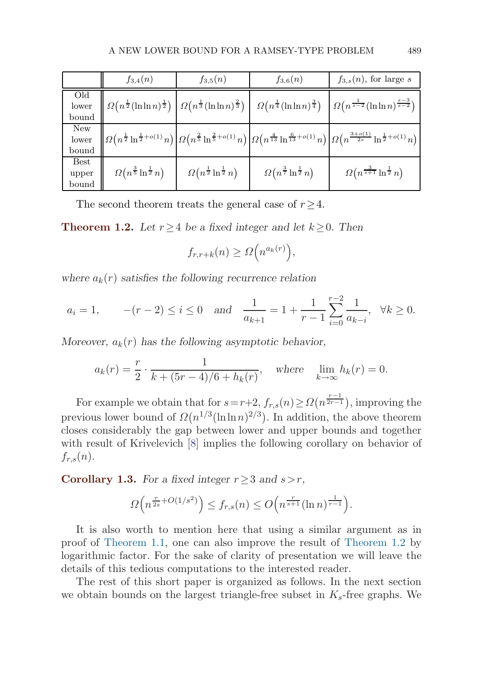<span id="page-2-0"></span>

|                               | $f_{3,4}(n)$                                                 | $f_{3,5}(n)$                                                  | $f_{3,6}(n)$                                                  | $f_{3,s}(n)$ , for large s                                                                                                                                                                                                                                                   |
|-------------------------------|--------------------------------------------------------------|---------------------------------------------------------------|---------------------------------------------------------------|------------------------------------------------------------------------------------------------------------------------------------------------------------------------------------------------------------------------------------------------------------------------------|
| Old<br>lower<br>bound         | $\Omega\left(n^{\frac{1}{2}}(\ln\ln n)^{\frac{1}{2}}\right)$ | $\Omega\left(n^{\frac{1}{3}}(\ln \ln n)^{\frac{2}{3}}\right)$ | $\Omega\left(n^{\frac{1}{4}}(\ln \ln n)^{\frac{3}{4}}\right)$ | $\Omega(n^{\frac{1}{s-2}}(\ln \ln n)^{\frac{s-3}{s-2}})$                                                                                                                                                                                                                     |
| New<br>lower<br>bound         |                                                              |                                                               |                                                               | $\left \Omega\left(n^{\frac{1}{2}}\ln^{\frac{1}{2}+o(1)} n\right)\right \Omega\left(n^{\frac{2}{5}}\ln^{\frac{2}{5}+o(1)} n\right)\left \Omega\left(n^{\frac{4}{13}}\ln^{\frac{6}{13}+o(1)} n\right)\right \Omega\left(n^{\frac{3+o(1)}{2s}}\ln^{\frac{1}{2}+o(1)} n\right)$ |
| <b>Best</b><br>upper<br>bound | $\Omega\left(n^{\frac{3}{5}}\ln^{\frac{1}{2}}n\right)$       | $\Omega\left(n^{\frac{1}{2}}\ln^{\frac{1}{2}}n\right)$        | $\Omega\left(n^{\frac{3}{7}}\ln^{\frac{1}{2}}n\right)$        | $\Omega\left(n^{\frac{3}{s+1}}\ln^{\frac{1}{2}}n\right)$                                                                                                                                                                                                                     |

The second theorem treats the general case of  $r \geq 4$ .

**Theorem 1.2.** *Let*  $r \geq 4$  *be a fixed integer and let*  $k \geq 0$ *. Then* 

$$
f_{r,r+k}(n) \ge \Omega\Big(n^{a_k(r)}\Big),\,
$$

where  $a_k(r)$  *satisfies the following recurrence relation* 

$$
a_i = 1
$$
,  $-(r-2) \le i \le 0$  and  $\frac{1}{a_{k+1}} = 1 + \frac{1}{r-1} \sum_{i=0}^{r-2} \frac{1}{a_{k-i}}$ ,  $\forall k \ge 0$ .

*Moreover,*  $a_k(r)$  *has the following asymptotic behavior,* 

$$
a_k(r) = \frac{r}{2} \cdot \frac{1}{k + (5r - 4)/6 + h_k(r)},
$$
 where  $\lim_{k \to \infty} h_k(r) = 0.$ 

For example we obtain that for  $s = r+2$ ,  $f_{r,s}(n) \geq \Omega(n^{\frac{r-1}{2r-1}})$ , improving the previous lower bound of  $\Omega(n^{1/3}(\ln \ln n)^{2/3})$ . In addition, the above theorem closes considerably the gap between lower and upper bounds and together with result of Krivelevich [\[8\]](#page-11-0) implies the following corollary on behavior of  $f_{r,s}(n)$ .

**Corollary 1.3.** *For a fixed integer*  $r \geq 3$  *and*  $s > r$ *,* 

$$
\Omega\left(n^{\frac{r}{2s} + O(1/s^2)}\right) \le f_{r,s}(n) \le O\left(n^{\frac{r}{s+1}}(\ln n)^{\frac{1}{r-1}}\right).
$$

It is also worth to mention here that using a similar argument as in proof of [Theorem 1.1](#page-1-0), one can also improve the result of Theorem 1.2 by logarithmic factor. For the sake of clarity of presentation we will leave the details of this tedious computations to the interested reader.

The rest of this short paper is organized as follows. In the next section we obtain bounds on the largest triangle-free subset in  $K_s$ -free graphs. We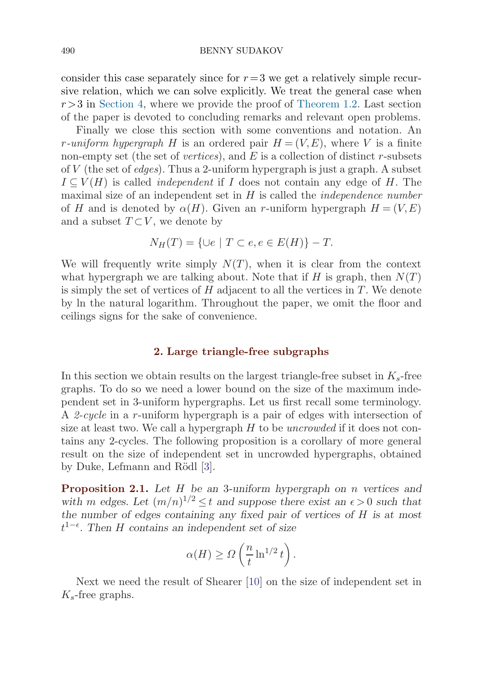### <span id="page-3-0"></span>490 BENNY SUDAKOV

consider this case separately since for  $r=3$  we get a relatively simple recursive relation, which we can solve explicitly. We treat the general case when  $r > 3$  in [Section 4](#page-10-0), where we provide the proof of [Theorem 1.2](#page-2-0). Last section of the paper is devoted to concluding remarks and relevant open problems.

Finally we close this section with some conventions and notation. An r-uniform hypergraph H is an ordered pair  $H = (V, E)$ , where V is a finite non-empty set (the set of vertices), and  $E$  is a collection of distinct r-subsets of  $V$  (the set of *edges*). Thus a 2-uniform hypergraph is just a graph. A subset  $I \subseteq V(H)$  is called *independent* if I does not contain any edge of H. The maximal size of an independent set in  $H$  is called the *independence number* of H and is denoted by  $\alpha(H)$ . Given an r-uniform hypergraph  $H = (V, E)$ and a subset  $T\subset V$ , we denote by

$$
N_H(T) = \{ \cup e \mid T \subset e, e \in E(H) \} - T.
$$

We will frequently write simply  $N(T)$ , when it is clear from the context what hypergraph we are talking about. Note that if H is graph, then  $N(T)$ is simply the set of vertices of  $H$  adjacent to all the vertices in  $T$ . We denote by ln the natural logarithm. Throughout the paper, we omit the floor and ceilings signs for the sake of convenience.

### **2. Large triangle-free subgraphs**

In this section we obtain results on the largest triangle-free subset in  $K_s$ -free graphs. To do so we need a lower bound on the size of the maximum independent set in 3-uniform hypergraphs. Let us first recall some terminology. A 2-cycle in a r-uniform hypergraph is a pair of edges with intersection of size at least two. We call a hypergraph  $H$  to be *uncrowded* if it does not contains any 2-cycles. The following proposition is a corollary of more general result on the size of independent set in uncrowded hypergraphs, obtained by Duke, Lefmann and Rödl [[3](#page-11-0)].

**Proposition 2.1.** *Let* H *be an* 3*-uniform hypergraph on* n *vertices and* with m edges. Let  $(m/n)^{1/2} \le t$  and suppose there exist an  $\epsilon > 0$  such that *the number of edges containing any fixed pair of vertices of* H *is at most* t 1− *. Then* H *contains an independent set of size*

$$
\alpha(H) \ge \Omega\left(\frac{n}{t} \ln^{1/2} t\right).
$$

Next we need the result of Shearer [\[10](#page-11-0)] on the size of independent set in  $K_s$ -free graphs.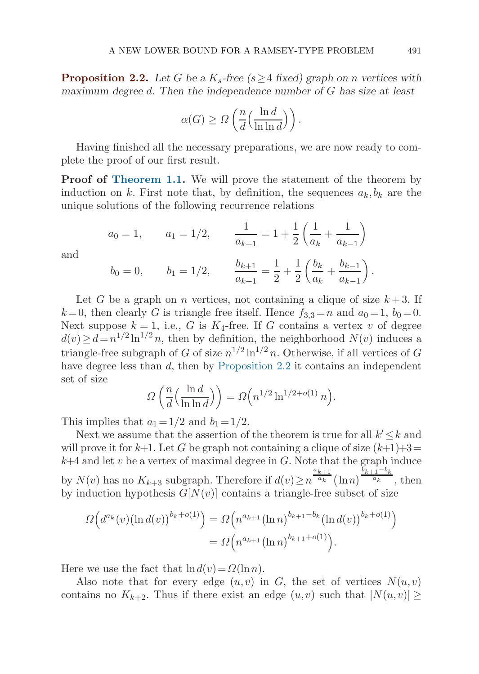<span id="page-4-0"></span>**Proposition 2.2.** Let G be a  $K_s$ -free ( $s > 4$  fixed) graph on *n* vertices with *maximum degree* d*. Then the independence number of* G *has size at least*

$$
\alpha(G) \ge \Omega\left(\frac{n}{d} \left(\frac{\ln d}{\ln \ln d}\right)\right).
$$

Having finished all the necessary preparations, we are now ready to complete the proof of our first result.

**Proof of [Theorem 1.1](#page-1-0).** We will prove the statement of the theorem by induction on k. First note that, by definition, the sequences  $a_k, b_k$  are the unique solutions of the following recurrence relations

$$
a_0 = 1,
$$
  $a_1 = 1/2,$   $\frac{1}{a_{k+1}} = 1 + \frac{1}{2} \left( \frac{1}{a_k} + \frac{1}{a_{k-1}} \right)$   
 $b_0 = 0,$   $b_1 = 1/2,$   $\frac{b_{k+1}}{a_{k+1}} = \frac{1}{2} + \frac{1}{2} \left( \frac{b_k}{a_k} + \frac{b_{k-1}}{a_{k-1}} \right).$ 

and

Let G be a graph on n vertices, not containing a clique of size 
$$
k+3
$$
. If  $k=0$ , then clearly G is triangle free itself. Hence  $f_{3,3}=n$  and  $a_0=1$ ,  $b_0=0$ .  
Next suppose  $k=1$ , i.e., G is  $K_4$ -free. If G contains a vertex v of degree

 $d(v) \geq d = n^{1/2} \ln^{1/2} n$ , then by definition, the neighborhood  $N(v)$  induces a triangle-free subgraph of G of size  $n^{1/2} \ln^{1/2} n$ . Otherwise, if all vertices of G have degree less than d, then by Proposition 2.2 it contains an independent set of size

$$
\Omega\left(\frac{n}{d}\left(\frac{\ln d}{\ln \ln d}\right)\right) = \Omega\left(n^{1/2} \ln^{1/2 + o(1)} n\right).
$$

This implies that  $a_1 = 1/2$  and  $b_1 = 1/2$ .

Next we assume that the assertion of the theorem is true for all  $k' \leq k$  and will prove it for  $k+1$ . Let G be graph not containing a clique of size  $(k+1)+3=$  $k+4$  and let v be a vertex of maximal degree in  $G$ . Note that the graph induce by  $N(v)$  has no  $K_{k+3}$  subgraph. Therefore if  $d(v) \geq n$  $a_{k+1}$  $\frac{k+1}{a_k}(\ln n)^{\frac{b_{k+1}-b_k}{a_k}},$  then by induction hypothesis  $G[N(v)]$  contains a triangle-free subset of size

$$
\Omega\Big(d^{a_k}(v)\big(\ln d(v)\big)^{b_k+o(1)}\Big) = \Omega\Big(n^{a_{k+1}}\big(\ln n\big)^{b_{k+1}-b_k}\big(\ln d(v)\big)^{b_k+o(1)}\Big) \n= \Omega\Big(n^{a_{k+1}}\big(\ln n\big)^{b_{k+1}+o(1)}\Big).
$$

Here we use the fact that  $\ln d(v) = \Omega(\ln n)$ .

Also note that for every edge  $(u, v)$  in G, the set of vertices  $N(u, v)$ contains no  $K_{k+2}$ . Thus if there exist an edge  $(u,v)$  such that  $|N(u,v)| \geq$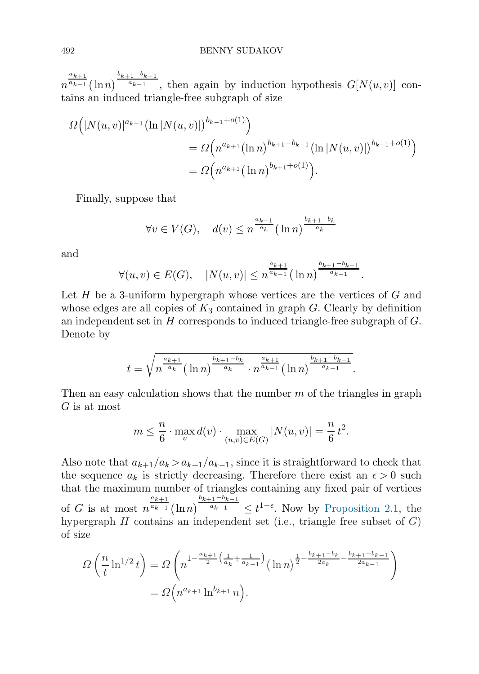n  $a_{k+1}$  $\frac{a_{k+1}}{a_{k-1}}(\ln n)^{\frac{b_{k+1}-b_{k-1}}{a_{k-1}}}$ , then again by induction hypothesis  $G[N(u,v)]$  contains an induced triangle-free subgraph of size

$$
\Omega(|N(u,v)|^{a_{k-1}}(\ln|N(u,v)|)^{b_{k-1}+o(1)})
$$
  
= 
$$
\Omega(n^{a_{k+1}}(\ln n)^{b_{k+1}-b_{k-1}}(\ln|N(u,v)|)^{b_{k-1}+o(1)})
$$
  
= 
$$
\Omega(n^{a_{k+1}}(\ln n)^{b_{k+1}+o(1)}).
$$

Finally, suppose that

$$
\forall v \in V(G), \quad d(v) \le n^{\frac{a_{k+1}}{a_k}} (\ln n)^{\frac{b_{k+1} - b_k}{a_k}}
$$

and

$$
\forall (u,v) \in E(G), \quad |N(u,v)| \leq n^{\frac{a_{k+1}}{a_{k-1}}} (\ln n)^{\frac{b_{k+1}-b_{k-1}}{a_{k-1}}}.
$$

Let  $H$  be a 3-uniform hypergraph whose vertices are the vertices of  $G$  and whose edges are all copies of  $K_3$  contained in graph G. Clearly by definition an independent set in  $H$  corresponds to induced triangle-free subgraph of  $G$ . Denote by

$$
t = \sqrt{n^{\frac{a_{k+1}}{a_k}} (\ln n)^{\frac{b_{k+1}-b_k}{a_k}} \cdot n^{\frac{a_{k+1}}{a_{k-1}}} (\ln n)^{\frac{b_{k+1}-b_{k-1}}{a_{k-1}}}.
$$

Then an easy calculation shows that the number  $m$  of the triangles in graph G is at most

$$
m \le \frac{n}{6} \cdot \max_{v} d(v) \cdot \max_{(u,v) \in E(G)} |N(u,v)| = \frac{n}{6} t^2.
$$

Also note that  $a_{k+1}/a_k > a_{k+1}/a_{k-1}$ , since it is straightforward to check that the sequence  $a_k$  is strictly decreasing. Therefore there exist an  $\epsilon > 0$  such that the maximum number of triangles containing any fixed pair of vertices of  $G$  is at most  $n$  $a_{k+1}$  $\frac{a_{k+1}}{a_{k-1}}(\ln n)^{\frac{b_{k+1}-b_{k-1}}{a_{k-1}}} \leq t^{1-\epsilon}$ . Now by [Proposition 2.1](#page-3-0), the hypergraph  $H$  contains an independent set (i.e., triangle free subset of  $G$ ) of size

$$
\Omega\left(\frac{n}{t}\ln^{1/2}t\right) = \Omega\left(n^{1-\frac{a_{k+1}}{2}\left(\frac{1}{a_k} + \frac{1}{a_{k-1}}\right)}(\ln n)^{\frac{1}{2}-\frac{b_{k+1}-b_k}{2a_k}-\frac{b_{k+1}-b_{k-1}}{2a_{k-1}}}\right)
$$

$$
= \Omega\left(n^{a_{k+1}}\ln^{b_{k+1}}n\right).
$$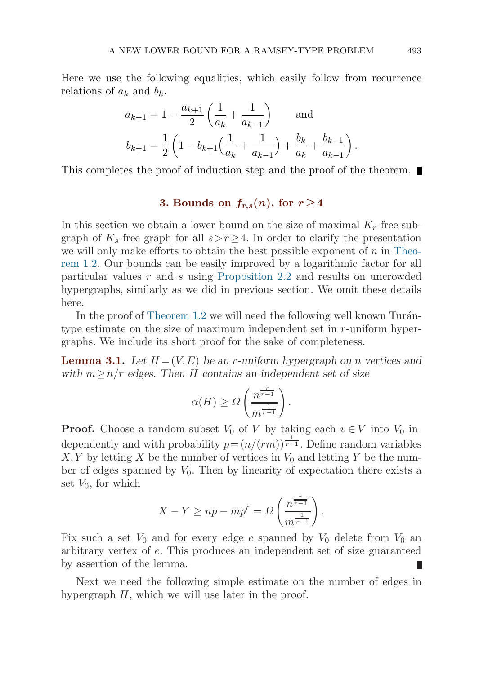<span id="page-6-0"></span>Here we use the following equalities, which easily follow from recurrence relations of  $a_k$  and  $b_k$ .

$$
a_{k+1} = 1 - \frac{a_{k+1}}{2} \left( \frac{1}{a_k} + \frac{1}{a_{k-1}} \right) \quad \text{and}
$$
  

$$
b_{k+1} = \frac{1}{2} \left( 1 - b_{k+1} \left( \frac{1}{a_k} + \frac{1}{a_{k-1}} \right) + \frac{b_k}{a_k} + \frac{b_{k-1}}{a_{k-1}} \right).
$$

This completes the proof of induction step and the proof of the theorem.

# **3.** Bounds on  $f_{r,s}(n)$ , for  $r \geq 4$

In this section we obtain a lower bound on the size of maximal  $K_r$ -free subgraph of  $K_s$ -free graph for all  $s > r \geq 4$ . In order to clarify the presentation we will only make efforts to obtain the best possible exponent of  $n$  in [Theo](#page-2-0)re[m 1.2](#page-2-0). Our bounds can be easily improved by a logarithmic factor for all particular values r and s using [Proposition 2.2](#page-4-0) and results on uncrowded hypergraphs, similarly as we did in previous section. We omit these details here.

In the proof of Theorem  $1.2$  we will need the following well known Turántype estimate on the size of maximum independent set in r-uniform hypergraphs. We include its short proof for the sake of completeness.

**Lemma 3.1.** Let  $H = (V, E)$  be an *r*-uniform hypergraph on *n* vertices and *with* m≥n/r *edges. Then* H *contains an independent set of size*

$$
\alpha(H) \geq \Omega\left(\frac{n^{\frac{r}{r-1}}}{m^{\frac{1}{r-1}}}\right).
$$

**Proof.** Choose a random subset  $V_0$  of V by taking each  $v \in V$  into  $V_0$  independently and with probability  $p = (n/(rm))^{\frac{1}{r-1}}$ . Define random variables  $X, Y$  by letting X be the number of vertices in  $V_0$  and letting Y be the number of edges spanned by  $V_0$ . Then by linearity of expectation there exists a set  $V_0$ , for which

$$
X - Y \ge np - mp^{r} = \Omega \left( \frac{n^{\frac{r}{r-1}}}{m^{\frac{1}{r-1}}} \right).
$$

Fix such a set  $V_0$  and for every edge e spanned by  $V_0$  delete from  $V_0$  an arbitrary vertex of e. This produces an independent set of size guaranteed by assertion of the lemma.

Next we need the following simple estimate on the number of edges in hypergraph  $H$ , which we will use later in the proof.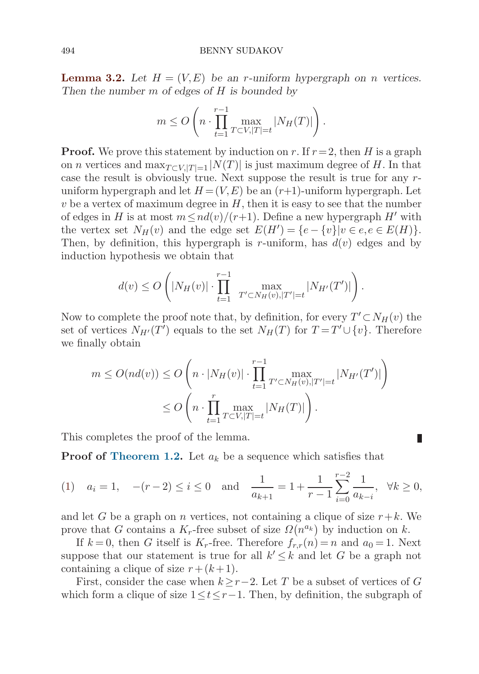### <span id="page-7-0"></span>494 BENNY SUDAKOV

**Lemma 3.2.** Let  $H = (V, E)$  be an *r*-uniform hypergraph on *n* vertices. *Then the number* m *of edges of* H *is bounded by*

$$
m \le O\left(n \cdot \prod_{t=1}^{r-1} \max_{T \subset V, |T|=t} |N_H(T)|\right).
$$

**Proof.** We prove this statement by induction on r. If  $r = 2$ , then H is a graph on *n* vertices and max $_{T\subset V, |T|=1} |N(T)|$  is just maximum degree of H. In that case the result is obviously true. Next suppose the result is true for any runiform hypergraph and let  $H = (V, E)$  be an  $(r+1)$ -uniform hypergraph. Let  $v$  be a vertex of maximum degree in  $H$ , then it is easy to see that the number of edges in H is at most  $m \leq nd(v)/(r+1)$ . Define a new hypergraph H' with the vertex set  $N_H(v)$  and the edge set  $E(H') = \{e - \{v\} | v \in e, e \in E(H)\}.$ Then, by definition, this hypergraph is r-uniform, has  $d(v)$  edges and by induction hypothesis we obtain that

$$
d(v) \leq O\left(|N_H(v)| \cdot \prod_{t=1}^{r-1} \max_{T' \subset N_H(v), |T'|=t} |N_{H'}(T')|\right).
$$

Now to complete the proof note that, by definition, for every  $T' \subset N_H(v)$  the set of vertices  $N_{H'}(T')$  equals to the set  $N_H(T)$  for  $T = T' \cup \{v\}$ . Therefore we finally obtain

$$
m \le O(nd(v)) \le O\left(n \cdot |N_H(v)| \cdot \prod_{t=1}^{r-1} \max_{T' \subset N_H(v), |T'| = t} |N_{H'}(T')|\right)
$$
  

$$
\le O\left(n \cdot \prod_{t=1}^r \max_{T \subset V, |T'| = t} |N_H(T)|\right).
$$

This completes the proof of the lemma.

**Proof of [Theorem 1.2.](#page-2-0)** Let  $a_k$  be a sequence which satisfies that

$$
(1) \quad a_i = 1, \quad -(r-2) \le i \le 0 \quad \text{and} \quad \frac{1}{a_{k+1}} = 1 + \frac{1}{r-1} \sum_{i=0}^{r-2} \frac{1}{a_{k-i}}, \quad \forall k \ge 0,
$$

Ш

and let G be a graph on n vertices, not containing a clique of size  $r+k$ . We prove that G contains a  $K_r$ -free subset of size  $\Omega(n^{a_k})$  by induction on k.

If  $k = 0$ , then G itself is  $K_r$ -free. Therefore  $f_{r,r}(n) = n$  and  $a_0 = 1$ . Next suppose that our statement is true for all  $k' \leq k$  and let G be a graph not containing a clique of size  $r + (k + 1)$ .

First, consider the case when  $k \geq r-2$ . Let T be a subset of vertices of G which form a clique of size  $1 \le t \le r-1$ . Then, by definition, the subgraph of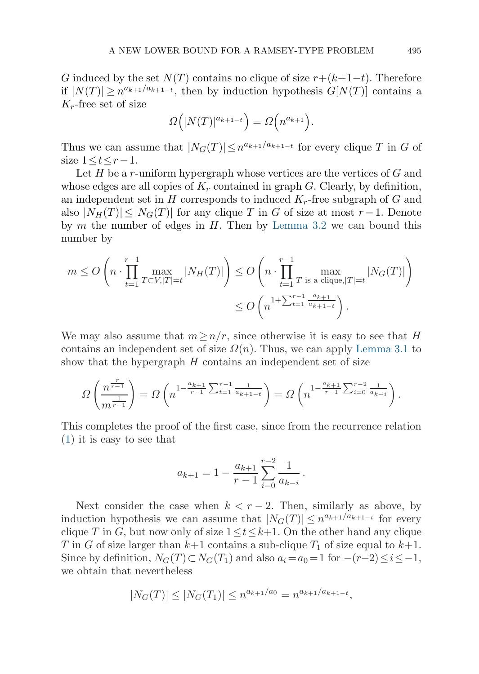G induced by the set  $N(T)$  contains no clique of size  $r+(k+1-t)$ . Therefore if  $|N(T)| \geq n^{a_{k+1}/a_{k+1-t}}$ , then by induction hypothesis  $G[N(T)]$  contains a  $K_r$ -free set of size

$$
\Omega(|N(T)|^{a_{k+1-t}}) = \Omega\left(n^{a_{k+1}}\right).
$$

Thus we can assume that  $|N_G(T)| \leq n^{a_{k+1}/a_{k+1-t}}$  for every clique T in G of size  $1 \le t \le r-1$ .

Let  $H$  be a r-uniform hypergraph whose vertices are the vertices of  $G$  and whose edges are all copies of  $K_r$  contained in graph G. Clearly, by definition, an independent set in  $H$  corresponds to induced  $K_r$ -free subgraph of  $G$  and also  $|N_H(T)| \leq |N_G(T)|$  for any clique T in G of size at most r -1. Denote by  $m$  the number of edges in  $H$ . Then by [Lemma 3.2](#page-7-0) we can bound this number by

$$
m \le O\left(n \cdot \prod_{t=1}^{r-1} \max_{T \subset V, |T|=t} |N_H(T)|\right) \le O\left(n \cdot \prod_{t=1}^{r-1} \max_{T \text{ is a clique}, |T|=t} |N_G(T)|\right)
$$
  

$$
\le O\left(n^{1+\sum_{t=1}^{r-1} \frac{a_{k+1}}{a_{k+1-t}}}\right).
$$

We may also assume that  $m \geq n/r$ , since otherwise it is easy to see that H contains an independent set of size  $\Omega(n)$ . Thus, we can apply [Lemma 3.1](#page-6-0) to show that the hypergraph  $H$  contains an independent set of size

$$
\Omega\left(\frac{n^{\frac{r}{r-1}}}{m^{\frac{1}{r-1}}}\right) = \Omega\left(n^{1-\frac{a_{k+1}}{r-1}\sum_{t=1}^{r-1}\frac{1}{a_{k+1-t}}}\right) = \Omega\left(n^{1-\frac{a_{k+1}}{r-1}\sum_{i=0}^{r-2}\frac{1}{a_{k-i}}}\right).
$$

This completes the proof of the first case, since from the recurrence relation ([1](#page-7-0)) it is easy to see that

$$
a_{k+1} = 1 - \frac{a_{k+1}}{r-1} \sum_{i=0}^{r-2} \frac{1}{a_{k-i}}.
$$

Next consider the case when  $k < r - 2$ . Then, similarly as above, by induction hypothesis we can assume that  $|N_G(T)| \leq n^{a_{k+1}/a_{k+1-t}}$  for every clique T in G, but now only of size  $1 \le t \le k+1$ . On the other hand any clique T in G of size larger than  $k+1$  contains a sub-clique  $T_1$  of size equal to  $k+1$ . Since by definition,  $N_G(T) \subset N_G(T_1)$  and also  $a_i = a_0 = 1$  for  $-(r-2) \leq i \leq -1$ , we obtain that nevertheless

$$
|N_G(T)| \le |N_G(T_1)| \le n^{a_{k+1}/a_0} = n^{a_{k+1}/a_{k+1-t}},
$$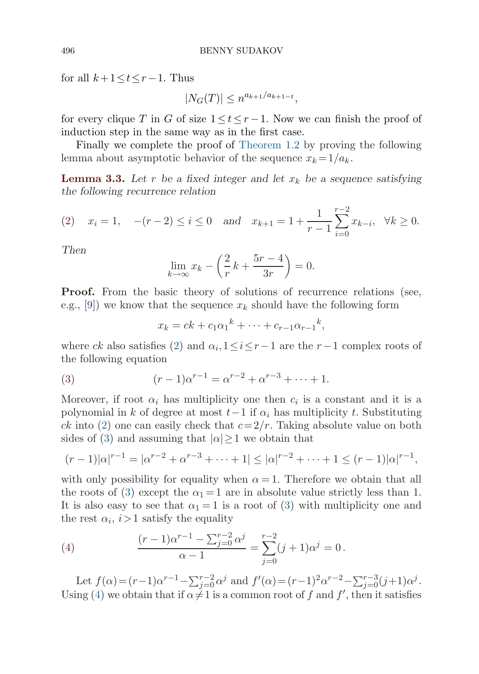for all  $k+1 \leq t \leq r-1$ . Thus

$$
|N_G(T)| \le n^{a_{k+1}/a_{k+1-t}},
$$

for every clique T in G of size  $1 \le t \le r-1$ . Now we can finish the proof of induction step in the same way as in the first case.

Finally we complete the proof of [Theorem 1.2](#page-2-0) by proving the following lemma about asymptotic behavior of the sequence  $x_k = 1/a_k$ .

**Lemma 3.3.** Let r be a fixed integer and let  $x_k$  be a sequence satisfying *the following recurrence relation*

$$
(2) \quad x_i = 1, \quad -(r-2) \le i \le 0 \quad \text{and} \quad x_{k+1} = 1 + \frac{1}{r-1} \sum_{i=0}^{r-2} x_{k-i}, \quad \forall k \ge 0.
$$

*Then*

$$
\lim_{k \to \infty} x_k - \left(\frac{2}{r}k + \frac{5r - 4}{3r}\right) = 0.
$$

**Proof.** From the basic theory of solutions of recurrence relations (see, e.g., [[9](#page-11-0)]) we know that the sequence  $x_k$  should have the following form

$$
x_k = ck + c_1 \alpha_1^k + \dots + c_{r-1} \alpha_{r-1}^k,
$$

where ck also satisfies (2) and  $\alpha_i, 1 \leq i \leq r-1$  are the  $r-1$  complex roots of the following equation

(3) 
$$
(r-1)\alpha^{r-1} = \alpha^{r-2} + \alpha^{r-3} + \dots + 1.
$$

Moreover, if root  $\alpha_i$  has multiplicity one then  $c_i$  is a constant and it is a polynomial in k of degree at most  $t-1$  if  $\alpha_i$  has multiplicity t. Substituting ck into (2) one can easily check that  $c = 2/r$ . Taking absolute value on both sides of (3) and assuming that  $|\alpha| \geq 1$  we obtain that

$$
(r-1)|\alpha|^{r-1} = |\alpha^{r-2} + \alpha^{r-3} + \dots + 1| \leq |\alpha|^{r-2} + \dots + 1 \leq (r-1)|\alpha|^{r-1},
$$

with only possibility for equality when  $\alpha = 1$ . Therefore we obtain that all the roots of (3) except the  $\alpha_1 = 1$  are in absolute value strictly less than 1. It is also easy to see that  $\alpha_1 = 1$  is a root of (3) with multiplicity one and the rest  $\alpha_i$ ,  $i>1$  satisfy the equality

(4) 
$$
\frac{(r-1)\alpha^{r-1} - \sum_{j=0}^{r-2} \alpha^j}{\alpha - 1} = \sum_{j=0}^{r-2} (j+1)\alpha^j = 0.
$$

Let  $f(\alpha) = (r-1)\alpha^{r-1} - \sum_{j=0}^{r-2} \alpha^j$  and  $f'(\alpha) = (r-1)^2 \alpha^{r-2} - \sum_{j=0}^{r-3} (j+1)\alpha^j$ . Using (4) we obtain that if  $\alpha \neq 1$  is a common root of f and f', then it satisfies

<span id="page-9-0"></span>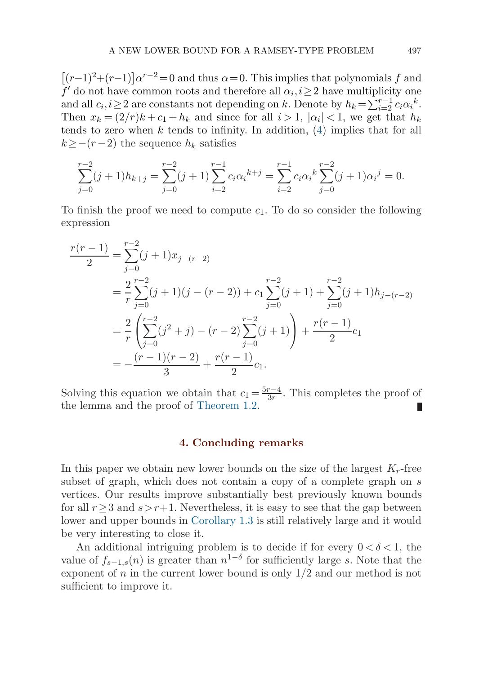<span id="page-10-0"></span> $[(r-1)^{2}+(r-1)]\alpha^{r-2}=0$  and thus  $\alpha=0$ . This implies that polynomials f and  $f'$  do not have common roots and therefore all  $\alpha_i, i \geq 2$  have multiplicity one and all  $c_i, i \geq 2$  are constants not depending on k. Denote by  $h_k = \sum_{i=2}^{r-1} c_i \alpha_i^k$ . Then  $x_k = (2/r)k + c_1 + h_k$  and since for all  $i > 1$ ,  $|\alpha_i| < 1$ , we get that  $h_k$ tends to zero when k tends to infinity. In addition,  $(4)$  implies that for all  $k \geq -(r-2)$  the sequence  $h_k$  satisfies

$$
\sum_{j=0}^{r-2} (j+1)h_{k+j} = \sum_{j=0}^{r-2} (j+1) \sum_{i=2}^{r-1} c_i \alpha_i^{k+j} = \sum_{i=2}^{r-1} c_i \alpha_i^k \sum_{j=0}^{r-2} (j+1) \alpha_i^j = 0.
$$

To finish the proof we need to compute  $c_1$ . To do so consider the following expression

$$
\frac{r(r-1)}{2} = \sum_{j=0}^{r-2} (j+1)x_{j-(r-2)}
$$
  
=  $\frac{2}{r} \sum_{j=0}^{r-2} (j+1)(j-(r-2)) + c_1 \sum_{j=0}^{r-2} (j+1) + \sum_{j=0}^{r-2} (j+1)h_{j-(r-2)}$   
=  $\frac{2}{r} \left( \sum_{j=0}^{r-2} (j^2+j) - (r-2) \sum_{j=0}^{r-2} (j+1) \right) + \frac{r(r-1)}{2} c_1$   
=  $-\frac{(r-1)(r-2)}{3} + \frac{r(r-1)}{2} c_1.$ 

Solving this equation we obtain that  $c_1 = \frac{5r-4}{3r}$ . This completes the proof of the lemma and the proof of [Theorem 1.2](#page-2-0). П

### **4. Concluding remarks**

In this paper we obtain new lower bounds on the size of the largest  $K_r$ -free subset of graph, which does not contain a copy of a complete graph on s vertices. Our results improve substantially best previously known bounds for all  $r>3$  and  $s>r+1$ . Nevertheless, it is easy to see that the gap between lower and upper bounds in [Corollary 1.3](#page-2-0) is still relatively large and it would be very interesting to close it.

An additional intriguing problem is to decide if for every  $0 < \delta < 1$ , the value of  $f_{s-1,s}(n)$  is greater than  $n^{1-\delta}$  for sufficiently large s. Note that the exponent of  $n$  in the current lower bound is only  $1/2$  and our method is not sufficient to improve it.